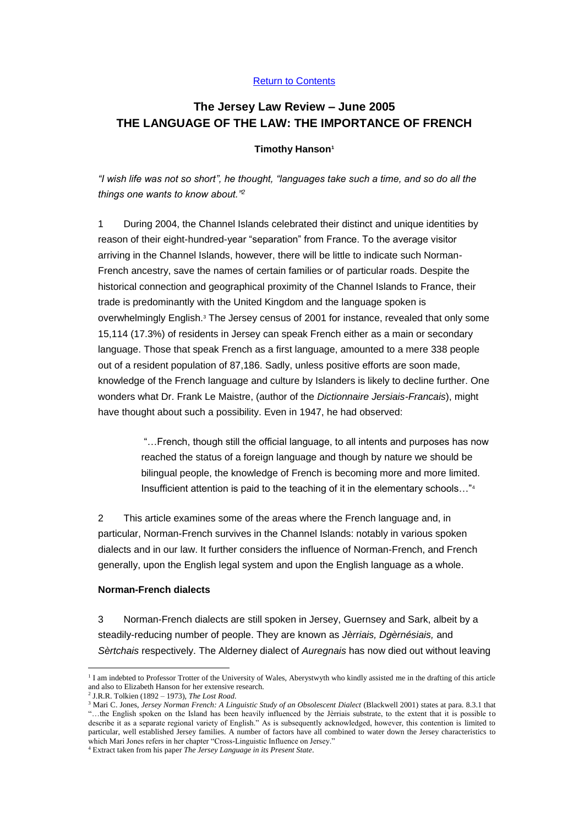### [Return to Contents](http://www.jerseylaw.je/Publications/jerseylawreview/contents05.aspx#Jun)

# **The Jersey Law Review – June 2005 THE LANGUAGE OF THE LAW: THE IMPORTANCE OF FRENCH**

### **Timothy Hanson<sup>1</sup>**

*"I wish life was not so short", he thought, "languages take such a time, and so do all the things one wants to know about."<sup>2</sup>*

1 During 2004, the Channel Islands celebrated their distinct and unique identities by reason of their eight-hundred-year "separation" from France. To the average visitor arriving in the Channel Islands, however, there will be little to indicate such Norman-French ancestry, save the names of certain families or of particular roads. Despite the historical connection and geographical proximity of the Channel Islands to France, their trade is predominantly with the United Kingdom and the language spoken is overwhelmingly English.<sup>3</sup> The Jersey census of 2001 for instance, revealed that only some 15,114 (17.3%) of residents in Jersey can speak French either as a main or secondary language. Those that speak French as a first language, amounted to a mere 338 people out of a resident population of 87,186. Sadly, unless positive efforts are soon made, knowledge of the French language and culture by Islanders is likely to decline further. One wonders what Dr. Frank Le Maistre, (author of the *Dictionnaire Jersiais-Francais*), might have thought about such a possibility. Even in 1947, he had observed:

> "…French, though still the official language, to all intents and purposes has now reached the status of a foreign language and though by nature we should be bilingual people, the knowledge of French is becoming more and more limited. Insufficient attention is paid to the teaching of it in the elementary schools…"<sup>4</sup>

2 This article examines some of the areas where the French language and, in particular, Norman-French survives in the Channel Islands: notably in various spoken dialects and in our law. It further considers the influence of Norman-French, and French generally, upon the English legal system and upon the English language as a whole.

#### **Norman-French dialects**

3 Norman-French dialects are still spoken in Jersey, Guernsey and Sark, albeit by a steadily-reducing number of people. They are known as *Jèrriais, Dgèrnésiais,* and *Sèrtchais* respectively. The Alderney dialect of *Auregnais* has now died out without leaving

<sup>1</sup> <sup>1</sup> I am indebted to Professor Trotter of the University of Wales, Aberystwyth who kindly assisted me in the drafting of this article and also to Elizabeth Hanson for her extensive research.

<sup>2</sup> J.R.R. Tolkien (1892 – 1973), *The Lost Road*.

<sup>3</sup> Mari C. Jones, *Jersey Norman French: A Linguistic Study of an Obsolescent Dialect* (Blackwell 2001) states at para. 8.3.1 that "…the English spoken on the Island has been heavily influenced by the Jèrriais substrate, to the extent that it is possible to describe it as a separate regional variety of English." As is subsequently acknowledged, however, this contention is limited to particular, well established Jersey families. A number of factors have all combined to water down the Jersey characteristics to which Mari Jones refers in her chapter "Cross-Linguistic Influence on Jersey."

<sup>4</sup> Extract taken from his paper *The Jersey Language in its Present State*.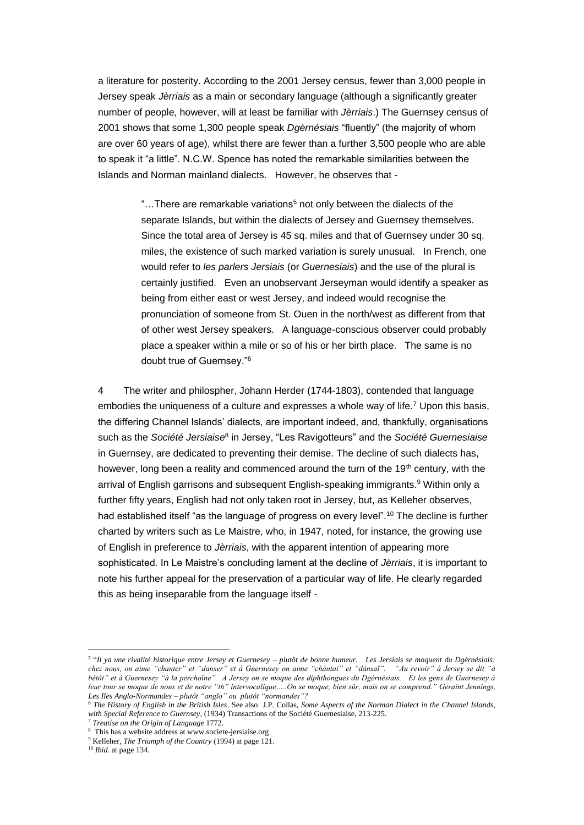a literature for posterity. According to the 2001 Jersey census, fewer than 3,000 people in Jersey speak *Jèrriais* as a main or secondary language (although a significantly greater number of people, however, will at least be familiar with *Jèrriais*.) The Guernsey census of 2001 shows that some 1,300 people speak *Dgèrnésiais* "fluently" (the majority of whom are over 60 years of age), whilst there are fewer than a further 3,500 people who are able to speak it "a little". N.C.W. Spence has noted the remarkable similarities between the Islands and Norman mainland dialects. However, he observes that -

> "...There are remarkable variations<sup>5</sup> not only between the dialects of the separate Islands, but within the dialects of Jersey and Guernsey themselves. Since the total area of Jersey is 45 sq. miles and that of Guernsey under 30 sq. miles, the existence of such marked variation is surely unusual. In French, one would refer to *les parlers Jersiais* (or *Guernesiais*) and the use of the plural is certainly justified. Even an unobservant Jerseyman would identify a speaker as being from either east or west Jersey, and indeed would recognise the pronunciation of someone from St. Ouen in the north/west as different from that of other west Jersey speakers. A language-conscious observer could probably place a speaker within a mile or so of his or her birth place. The same is no doubt true of Guernsey."<sup>6</sup>

4 The writer and philospher, Johann Herder (1744-1803), contended that language embodies the uniqueness of a culture and expresses a whole way of life.<sup> $7$ </sup> Upon this basis, the differing Channel Islands' dialects, are important indeed, and, thankfully, organisations such as the *Société Jersiaise*<sup>8</sup> in Jersey, "Les Ravigotteurs" and the *Société Guernesiaise* in Guernsey, are dedicated to preventing their demise. The decline of such dialects has, however, long been a reality and commenced around the turn of the 19<sup>th</sup> century, with the arrival of English garrisons and subsequent English-speaking immigrants.<sup>9</sup> Within only a further fifty years, English had not only taken root in Jersey, but, as Kelleher observes, had established itself "as the language of progress on every level".<sup>10</sup> The decline is further charted by writers such as Le Maistre, who, in 1947, noted, for instance, the growing use of English in preference to *Jèrriais*, with the apparent intention of appearing more sophisticated. In Le Maistre's concluding lament at the decline of *Jèrriais*, it is important to note his further appeal for the preservation of a particular way of life. He clearly regarded this as being inseparable from the language itself -

<sup>5</sup> "*Il ya une rivalité historique entre Jersey et Guernesey – plutôt de bonne humeur. Les Jersiais se moquent du Dgèrnésiais: chez nous, on aime "chanter" et "danser" et à Guernesey on aime "chàntai" et "dànsaï". "Au revoir" à Jersey se dit "à bétôt" et à Guernesey "à la perchoïne". A Jersey on se moque des diphthongues du Dgèrnésiais. Et les gens de Guernesey à leur tour se moque de nous et de notre "th" intervocalique…..On se moque, bien sûr, mais on se comprend." Geraint Jennings, Les Iles Anglo-Normandes – plutôt "anglo" ou plutôt "normandes"?*

<sup>6</sup> *The History of English in the British Isles*. See also J.P. Collas, *Some Aspects of the Norman Dialect in the Channel Islands, with Special Reference to Guernsey*, (1934) Transactions of the Société Guernesiaise, 213-225.

<sup>7</sup> *Treatise on the Origin of Language* 1772.

<sup>8</sup> This has a website address at www.societe-jersiaise.org

<sup>9</sup> Kelleher, *The Triumph of the Country* (1994) at page 121.

<sup>10</sup> *Ibid.* at page 134.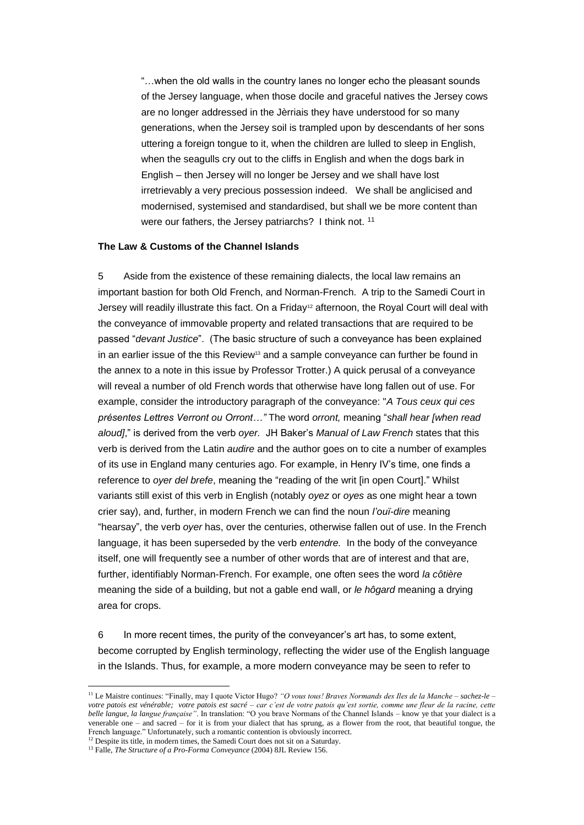"…when the old walls in the country lanes no longer echo the pleasant sounds of the Jersey language, when those docile and graceful natives the Jersey cows are no longer addressed in the Jèrriais they have understood for so many generations, when the Jersey soil is trampled upon by descendants of her sons uttering a foreign tongue to it, when the children are lulled to sleep in English, when the seagulls cry out to the cliffs in English and when the dogs bark in English – then Jersey will no longer be Jersey and we shall have lost irretrievably a very precious possession indeed. We shall be anglicised and modernised, systemised and standardised, but shall we be more content than were our fathers, the Jersey patriarchs? I think not. <sup>11</sup>

# **The Law & Customs of the Channel Islands**

5 Aside from the existence of these remaining dialects, the local law remains an important bastion for both Old French, and Norman-French. A trip to the Samedi Court in Jersey will readily illustrate this fact. On a Friday<sup>12</sup> afternoon, the Royal Court will deal with the conveyance of immovable property and related transactions that are required to be passed "*devant Justice*". (The basic structure of such a conveyance has been explained in an earlier issue of the this Review<sup>13</sup> and a sample conveyance can further be found in the annex to a note in this issue by Professor Trotter.) A quick perusal of a conveyance will reveal a number of old French words that otherwise have long fallen out of use. For example, consider the introductory paragraph of the conveyance: "*A Tous ceux qui ces présentes Lettres Verront ou Orront…"* The word *orront,* meaning "*shall hear [when read aloud]*," is derived from the verb *oyer.* JH Baker's *Manual of Law French* states that this verb is derived from the Latin *audire* and the author goes on to cite a number of examples of its use in England many centuries ago. For example, in Henry IV's time, one finds a reference to *oyer del brefe*, meaning the "reading of the writ [in open Court]." Whilst variants still exist of this verb in English (notably *oyez* or *oyes* as one might hear a town crier say), and, further, in modern French we can find the noun *l'ouï-dire* meaning "hearsay", the verb *oyer* has, over the centuries, otherwise fallen out of use. In the French language, it has been superseded by the verb *entendre.* In the body of the conveyance itself, one will frequently see a number of other words that are of interest and that are, further, identifiably Norman-French. For example, one often sees the word *la côtière* meaning the side of a building, but not a gable end wall, or *le hôgard* meaning a drying area for crops.

6 In more recent times, the purity of the conveyancer's art has, to some extent, become corrupted by English terminology, reflecting the wider use of the English language in the Islands. Thus, for example, a more modern conveyance may be seen to refer to

<u>.</u>

<sup>11</sup> Le Maistre continues: "Finally, may I quote Victor Hugo? *"O vous tous! Braves Normands des Iles de la Manche – sachez-le – votre patois est vénérable; votre patois est sacré – car c'est de votre patois qu'est sortie, comme une fleur de la racine, cette belle langue, la langue française"*. In translation: "O you brave Normans of the Channel Islands – know ye that your dialect is a venerable one – and sacred – for it is from your dialect that has sprung, as a flower from the root, that beautiful tongue, the French language." Unfortunately, such a romantic contention is obviously incorrect.

<sup>&</sup>lt;sup>12</sup> Despite its title, in modern times, the Samedi Court does not sit on a Saturday.

<sup>13</sup> Falle, *The Structure of a Pro-Forma Conveyance* (2004) 8JL Review 156.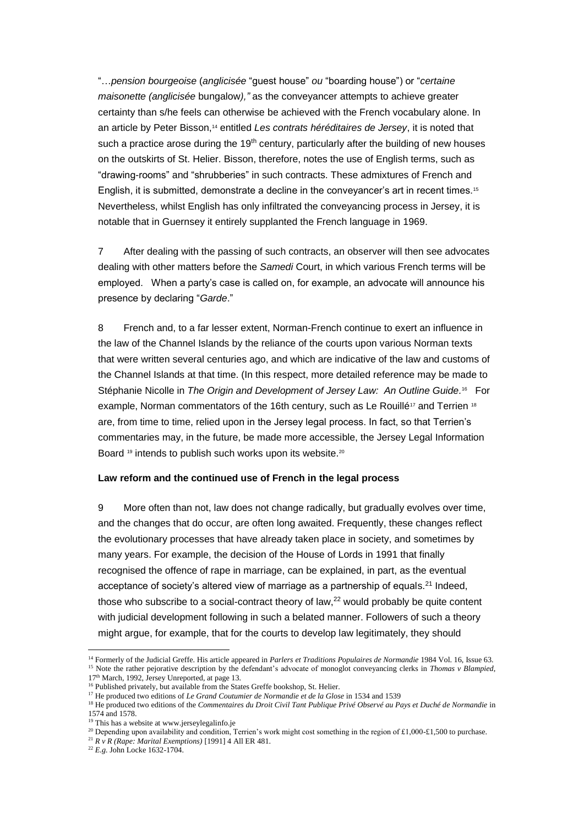"…*pension bourgeoise* (*anglicisée* "guest house" *ou* "boarding house") or "*certaine maisonette (anglicisée* bungalow*),"* as the conveyancer attempts to achieve greater certainty than s/he feels can otherwise be achieved with the French vocabulary alone. In an article by Peter Bisson,<sup>14</sup> entitled *Les contrats héréditaires de Jersey*, it is noted that such a practice arose during the  $19<sup>th</sup>$  century, particularly after the building of new houses on the outskirts of St. Helier. Bisson, therefore, notes the use of English terms, such as "drawing-rooms" and "shrubberies" in such contracts. These admixtures of French and English, it is submitted, demonstrate a decline in the conveyancer's art in recent times.<sup>15</sup> Nevertheless, whilst English has only infiltrated the conveyancing process in Jersey, it is notable that in Guernsey it entirely supplanted the French language in 1969.

7 After dealing with the passing of such contracts, an observer will then see advocates dealing with other matters before the *Samedi* Court, in which various French terms will be employed. When a party's case is called on, for example, an advocate will announce his presence by declaring "*Garde*."

8 French and, to a far lesser extent, Norman-French continue to exert an influence in the law of the Channel Islands by the reliance of the courts upon various Norman texts that were written several centuries ago, and which are indicative of the law and customs of the Channel Islands at that time. (In this respect, more detailed reference may be made to Stéphanie Nicolle in The Origin and Development of Jersey Law: An Outline Guide.<sup>16</sup> For example, Norman commentators of the 16th century, such as Le Rouillé<sup>17</sup> and Terrien <sup>18</sup> are, from time to time, relied upon in the Jersey legal process. In fact, so that Terrien's commentaries may, in the future, be made more accessible, the Jersey Legal Information Board<sup>19</sup> intends to publish such works upon its website.<sup>20</sup>

#### **Law reform and the continued use of French in the legal process**

9 More often than not, law does not change radically, but gradually evolves over time, and the changes that do occur, are often long awaited. Frequently, these changes reflect the evolutionary processes that have already taken place in society, and sometimes by many years. For example, the decision of the House of Lords in 1991 that finally recognised the offence of rape in marriage, can be explained, in part, as the eventual acceptance of society's altered view of marriage as a partnership of equals.<sup>21</sup> Indeed, those who subscribe to a social-contract theory of law, $^{22}$  would probably be quite content with judicial development following in such a belated manner. Followers of such a theory might argue, for example, that for the courts to develop law legitimately, they should

<sup>14</sup> Formerly of the Judicial Greffe. His article appeared in *Parlers et Traditions Populaires de Normandie* 1984 Vol. 16, Issue 63. <sup>15</sup> Note the rather pejorative description by the defendant's advocate of monoglot conveyancing clerks in *Thomas v Blampied*, 17<sup>th</sup> March, 1992, Jersey Unreported, at page 13.

<sup>&</sup>lt;sup>16</sup> Published privately, but available from the States Greffe bookshop, St. Helier.

<sup>&</sup>lt;sup>17</sup> He produced two editions of *Le Grand Coutumier de Normandie et de la Glose* in 1534 and 1539

<sup>18</sup> He produced two editions of the *Commentaires du Droit Civil Tant Publique Privé Observé au Pays et Duché de Normandie* in 1574 and 1578.

<sup>&</sup>lt;sup>19</sup> This has a website at www.jerseylegalinfo.je

<sup>&</sup>lt;sup>20</sup> Depending upon availability and condition, Terrien's work might cost something in the region of £1,000-£1,500 to purchase.

<sup>21</sup> *R v R (Rape: Marital Exemptions)* [1991] 4 All ER 481.

<sup>22</sup> *E.g.* John Locke 1632-1704.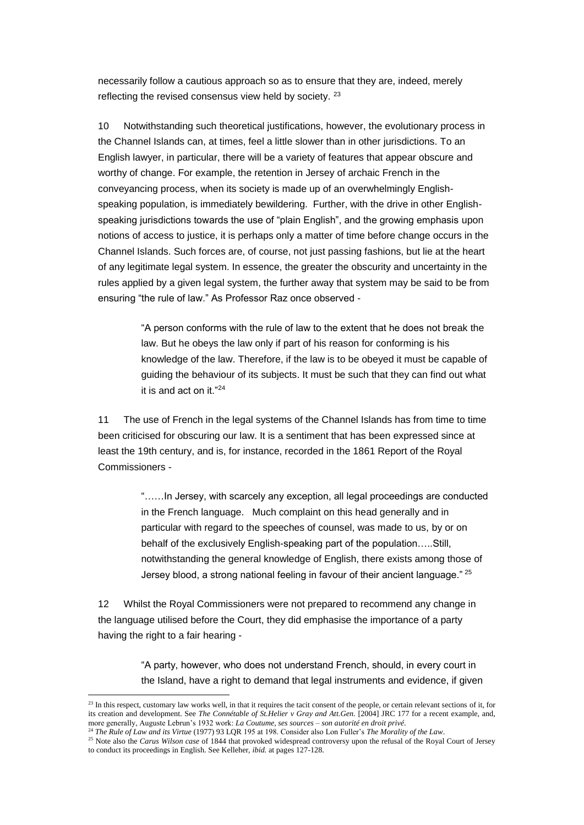necessarily follow a cautious approach so as to ensure that they are, indeed, merely reflecting the revised consensus view held by society. <sup>23</sup>

10 Notwithstanding such theoretical justifications, however, the evolutionary process in the Channel Islands can, at times, feel a little slower than in other jurisdictions. To an English lawyer, in particular, there will be a variety of features that appear obscure and worthy of change. For example, the retention in Jersey of archaic French in the conveyancing process, when its society is made up of an overwhelmingly Englishspeaking population, is immediately bewildering. Further, with the drive in other Englishspeaking jurisdictions towards the use of "plain English", and the growing emphasis upon notions of access to justice, it is perhaps only a matter of time before change occurs in the Channel Islands. Such forces are, of course, not just passing fashions, but lie at the heart of any legitimate legal system. In essence, the greater the obscurity and uncertainty in the rules applied by a given legal system, the further away that system may be said to be from ensuring "the rule of law." As Professor Raz once observed -

> "A person conforms with the rule of law to the extent that he does not break the law. But he obeys the law only if part of his reason for conforming is his knowledge of the law. Therefore, if the law is to be obeyed it must be capable of guiding the behaviour of its subjects. It must be such that they can find out what it is and act on it."<sup>24</sup>

11 The use of French in the legal systems of the Channel Islands has from time to time been criticised for obscuring our law. It is a sentiment that has been expressed since at least the 19th century, and is, for instance, recorded in the 1861 Report of the Royal Commissioners -

> "……In Jersey, with scarcely any exception, all legal proceedings are conducted in the French language. Much complaint on this head generally and in particular with regard to the speeches of counsel, was made to us, by or on behalf of the exclusively English-speaking part of the population…..Still, notwithstanding the general knowledge of English, there exists among those of Jersey blood, a strong national feeling in favour of their ancient language." <sup>25</sup>

12 Whilst the Royal Commissioners were not prepared to recommend any change in the language utilised before the Court, they did emphasise the importance of a party having the right to a fair hearing -

> "A party, however, who does not understand French, should, in every court in the Island, have a right to demand that legal instruments and evidence, if given

 $23$  In this respect, customary law works well, in that it requires the tacit consent of the people, or certain relevant sections of it, for its creation and development. See *The Connétable of St.Helier v Gray and Att.Gen.* [2004] JRC 177 for a recent example, and, more generally, Auguste Lebrun's 1932 work: *La Coutume, ses sources – son autorité en droit privé*.

<sup>24</sup> *The Rule of Law and its Virtue* (1977) 93 LQR 195 at 198. Consider also Lon Fuller's *The Morality of the Law*.

<sup>&</sup>lt;sup>25</sup> Note also the *Carus Wilson case* of 1844 that provoked widespread controversy upon the refusal of the Royal Court of Jersey to conduct its proceedings in English. See Kelleher, *ibid.* at pages 127-128.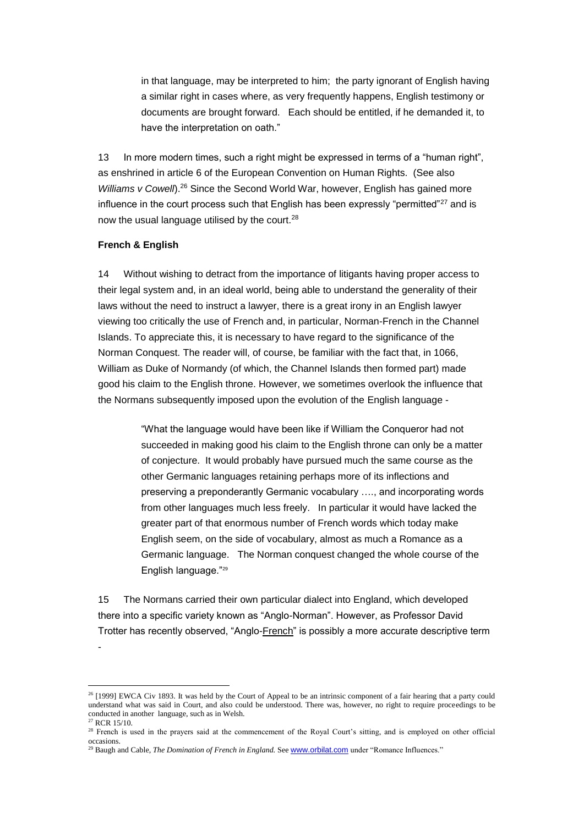in that language, may be interpreted to him; the party ignorant of English having a similar right in cases where, as very frequently happens, English testimony or documents are brought forward. Each should be entitled, if he demanded it, to have the interpretation on oath."

13 In more modern times, such a right might be expressed in terms of a "human right", as enshrined in article 6 of the European Convention on Human Rights. (See also *Williams v Cowell*).<sup>26</sup> Since the Second World War, however, English has gained more influence in the court process such that English has been expressly "permitted"<sup>27</sup> and is now the usual language utilised by the court.<sup>28</sup>

### **French & English**

-

1

14 Without wishing to detract from the importance of litigants having proper access to their legal system and, in an ideal world, being able to understand the generality of their laws without the need to instruct a lawyer, there is a great irony in an English lawyer viewing too critically the use of French and, in particular, Norman-French in the Channel Islands. To appreciate this, it is necessary to have regard to the significance of the Norman Conquest. The reader will, of course, be familiar with the fact that, in 1066, William as Duke of Normandy (of which, the Channel Islands then formed part) made good his claim to the English throne. However, we sometimes overlook the influence that the Normans subsequently imposed upon the evolution of the English language -

> "What the language would have been like if William the Conqueror had not succeeded in making good his claim to the English throne can only be a matter of conjecture. It would probably have pursued much the same course as the other Germanic languages retaining perhaps more of its inflections and preserving a preponderantly Germanic vocabulary …., and incorporating words from other languages much less freely. In particular it would have lacked the greater part of that enormous number of French words which today make English seem, on the side of vocabulary, almost as much a Romance as a Germanic language. The Norman conquest changed the whole course of the English language."<sup>29</sup>

15 The Normans carried their own particular dialect into England, which developed there into a specific variety known as "Anglo-Norman". However, as Professor David Trotter has recently observed, "Anglo-French" is possibly a more accurate descriptive term

 $26$  [1999] EWCA Civ 1893. It was held by the Court of Appeal to be an intrinsic component of a fair hearing that a party could understand what was said in Court, and also could be understood. There was, however, no right to require proceedings to be conducted in another language, such as in Welsh. <sup>27</sup> RCR 15/10.

<sup>&</sup>lt;sup>28</sup> French is used in the prayers said at the commencement of the Royal Court's sitting, and is employed on other official occasions.

<sup>&</sup>lt;sup>29</sup> Baugh and Cable, *The Domination of French in England*. See **[www.orbilat.com](http://www.orbilat.com/)** under "Romance Influences."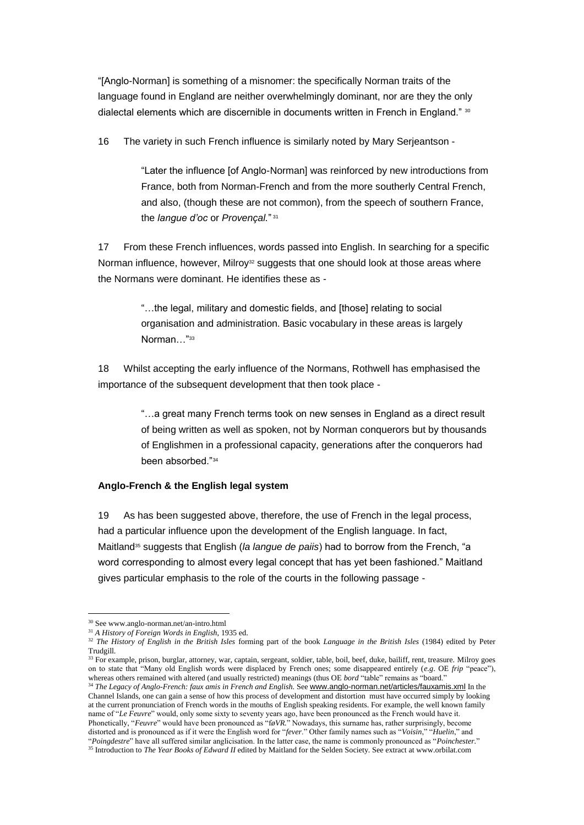"[Anglo-Norman] is something of a misnomer: the specifically Norman traits of the language found in England are neither overwhelmingly dominant, nor are they the only dialectal elements which are discernible in documents written in French in England." 30

16 The variety in such French influence is similarly noted by Mary Serjeantson -

"Later the influence [of Anglo-Norman] was reinforced by new introductions from France, both from Norman-French and from the more southerly Central French, and also, (though these are not common), from the speech of southern France, the *langue d'oc* or *Provençal.*" 31

17 From these French influences, words passed into English. In searching for a specific Norman influence, however, Milroy<sup>32</sup> suggests that one should look at those areas where the Normans were dominant. He identifies these as -

> "…the legal, military and domestic fields, and [those] relating to social organisation and administration. Basic vocabulary in these areas is largely Norman..."<sup>33</sup>

18 Whilst accepting the early influence of the Normans, Rothwell has emphasised the importance of the subsequent development that then took place -

> "…a great many French terms took on new senses in England as a direct result of being written as well as spoken, not by Norman conquerors but by thousands of Englishmen in a professional capacity, generations after the conquerors had been absorbed."<sup>34</sup>

### **Anglo-French & the English legal system**

19 As has been suggested above, therefore, the use of French in the legal process, had a particular influence upon the development of the English language. In fact, Maitland<sup>35</sup> suggests that English (*la langue de paiis*) had to borrow from the French, "a word corresponding to almost every legal concept that has yet been fashioned." Maitland gives particular emphasis to the role of the courts in the following passage -

1

at the current pronunciation of French words in the mouths of English speaking residents. For example, the well known family name of "*Le Feuvre*" would, only some sixty to seventy years ago, have been pronounced as the French would have it. Phonetically, "*Feuvre*" would have been pronounced as "f*øVR.*" Nowadays, this surname has, rather surprisingly, become distorted and is pronounced as if it were the English word for "*fever*." Other family names such as "*Voisin*," "*Huelin*," and "*Poingdestre*" have all suffered similar anglicisation. In the latter case, the name is commonly pronounced as "*Poinchester.*"

<sup>30</sup> See www.anglo-norman.net/an-intro.html

<sup>31</sup> *A History of Foreign Words in English*, 1935 ed.

<sup>32</sup> *The History of English in the British Isles* forming part of the book *Language in the British Isles* (1984) edited by Peter Trudgill.

<sup>&</sup>lt;sup>33</sup> For example, prison, burglar, attorney, war, captain, sergeant, soldier, table, boil, beef, duke, bailiff, rent, treasure. Milroy goes on to state that "Many old English words were displaced by French ones; some disappeared entirely (*e.g*. OE *frip* "peace"), whereas others remained with altered (and usually restricted) meanings (thus OE *bord* "table" remains as "board." <sup>34</sup> *The Legacy of Anglo-French: faux amis in French and English.* See [www.anglo-norman.net/articles/fauxamis.xml](http://www.anglo-norman.net/articles/fauxamis.xml) In the Channel Islands, one can gain a sense of how this process of development and distortion must have occurred simply by looking

<sup>&</sup>lt;sup>35</sup> Introduction to *The Year Books of Edward II* edited by Maitland for the Selden Society. See extract at www.orbilat.com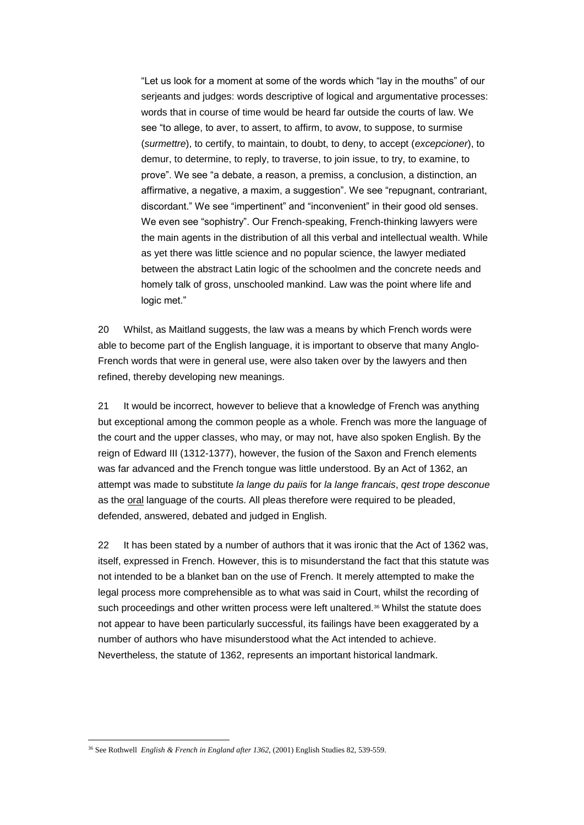"Let us look for a moment at some of the words which "lay in the mouths" of our serjeants and judges: words descriptive of logical and argumentative processes: words that in course of time would be heard far outside the courts of law. We see "to allege, to aver, to assert, to affirm, to avow, to suppose, to surmise (*surmettre*), to certify, to maintain, to doubt, to deny, to accept (*excepcioner*), to demur, to determine, to reply, to traverse, to join issue, to try, to examine, to prove". We see "a debate, a reason, a premiss, a conclusion, a distinction, an affirmative, a negative, a maxim, a suggestion". We see "repugnant, contrariant, discordant." We see "impertinent" and "inconvenient" in their good old senses. We even see "sophistry". Our French-speaking, French-thinking lawyers were the main agents in the distribution of all this verbal and intellectual wealth. While as yet there was little science and no popular science, the lawyer mediated between the abstract Latin logic of the schoolmen and the concrete needs and homely talk of gross, unschooled mankind. Law was the point where life and logic met."

20 Whilst, as Maitland suggests, the law was a means by which French words were able to become part of the English language, it is important to observe that many Anglo-French words that were in general use, were also taken over by the lawyers and then refined, thereby developing new meanings.

21 It would be incorrect, however to believe that a knowledge of French was anything but exceptional among the common people as a whole. French was more the language of the court and the upper classes, who may, or may not, have also spoken English. By the reign of Edward III (1312-1377), however, the fusion of the Saxon and French elements was far advanced and the French tongue was little understood. By an Act of 1362, an attempt was made to substitute *la lange du paiis* for *la lange francais*, *qest trope desconue* as the oral language of the courts. All pleas therefore were required to be pleaded, defended, answered, debated and judged in English.

22 It has been stated by a number of authors that it was ironic that the Act of 1362 was, itself, expressed in French. However, this is to misunderstand the fact that this statute was not intended to be a blanket ban on the use of French. It merely attempted to make the legal process more comprehensible as to what was said in Court, whilst the recording of such proceedings and other written process were left unaltered.<sup>36</sup> Whilst the statute does not appear to have been particularly successful, its failings have been exaggerated by a number of authors who have misunderstood what the Act intended to achieve. Nevertheless, the statute of 1362, represents an important historical landmark.

<u>.</u>

<sup>36</sup> See Rothwell *English & French in England after 1362*, (2001) English Studies 82, 539-559.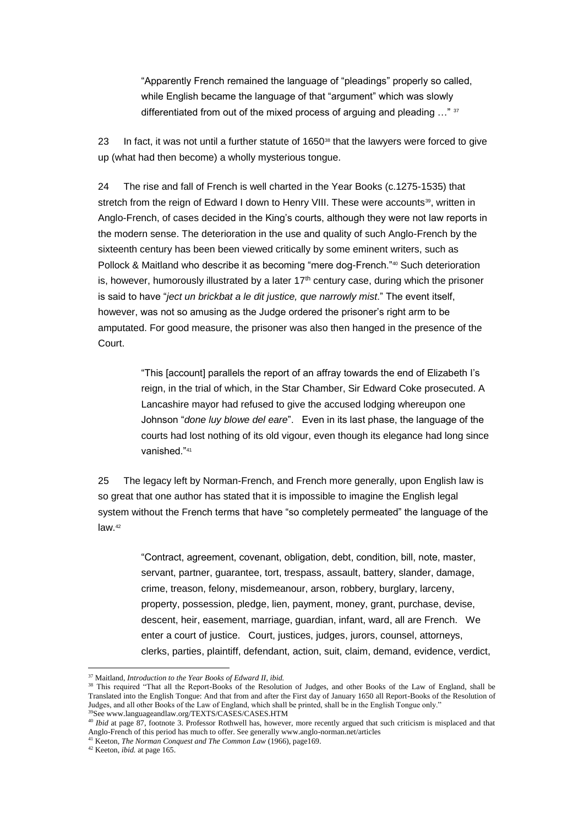"Apparently French remained the language of "pleadings" properly so called, while English became the language of that "argument" which was slowly differentiated from out of the mixed process of arguing and pleading ..." 37

23 In fact, it was not until a further statute of  $1650^{38}$  that the lawyers were forced to give up (what had then become) a wholly mysterious tongue.

24 The rise and fall of French is well charted in the Year Books (c.1275-1535) that stretch from the reign of Edward I down to Henry VIII. These were accounts<sup>39</sup>, written in Anglo-French, of cases decided in the King's courts, although they were not law reports in the modern sense. The deterioration in the use and quality of such Anglo-French by the sixteenth century has been been viewed critically by some eminent writers, such as Pollock & Maitland who describe it as becoming "mere dog-French."<sup>40</sup> Such deterioration is, however, humorously illustrated by a later  $17<sup>th</sup>$  century case, during which the prisoner is said to have "*ject un brickbat a le dit justice, que narrowly mist*." The event itself, however, was not so amusing as the Judge ordered the prisoner's right arm to be amputated. For good measure, the prisoner was also then hanged in the presence of the Court.

> "This [account] parallels the report of an affray towards the end of Elizabeth I's reign, in the trial of which, in the Star Chamber, Sir Edward Coke prosecuted. A Lancashire mayor had refused to give the accused lodging whereupon one Johnson "*done luy blowe del eare*". Even in its last phase, the language of the courts had lost nothing of its old vigour, even though its elegance had long since vanished."<sup>41</sup>

25 The legacy left by Norman-French, and French more generally, upon English law is so great that one author has stated that it is impossible to imagine the English legal system without the French terms that have "so completely permeated" the language of the law.<sup>42</sup>

> "Contract, agreement, covenant, obligation, debt, condition, bill, note, master, servant, partner, guarantee, tort, trespass, assault, battery, slander, damage, crime, treason, felony, misdemeanour, arson, robbery, burglary, larceny, property, possession, pledge, lien, payment, money, grant, purchase, devise, descent, heir, easement, marriage, guardian, infant, ward, all are French. We enter a court of justice. Court, justices, judges, jurors, counsel, attorneys, clerks, parties, plaintiff, defendant, action, suit, claim, demand, evidence, verdict,

<sup>37</sup> Maitland, *Introduction to the Year Books of Edward II*, *ibid.*

<sup>&</sup>lt;sup>38</sup> This required "That all the Report-Books of the Resolution of Judges, and other Books of the Law of England, shall be Translated into the English Tongue: And that from and after the First day of January 1650 all Report-Books of the Resolution of Judges, and all other Books of the Law of England, which shall be printed, shall be in the English Tongue only." <sup>39</sup>See www.languageandlaw.org/TEXTS/CASES/CASES.HTM

<sup>40</sup> *Ibid* at page 87, footnote 3. Professor Rothwell has, however, more recently argued that such criticism is misplaced and that Anglo-French of this period has much to offer. See generally www.anglo-norman.net/articles

<sup>41</sup> Keeton, *The Norman Conquest and The Common Law* (1966), page169.

<sup>42</sup> Keeton, *ibid.* at page 165.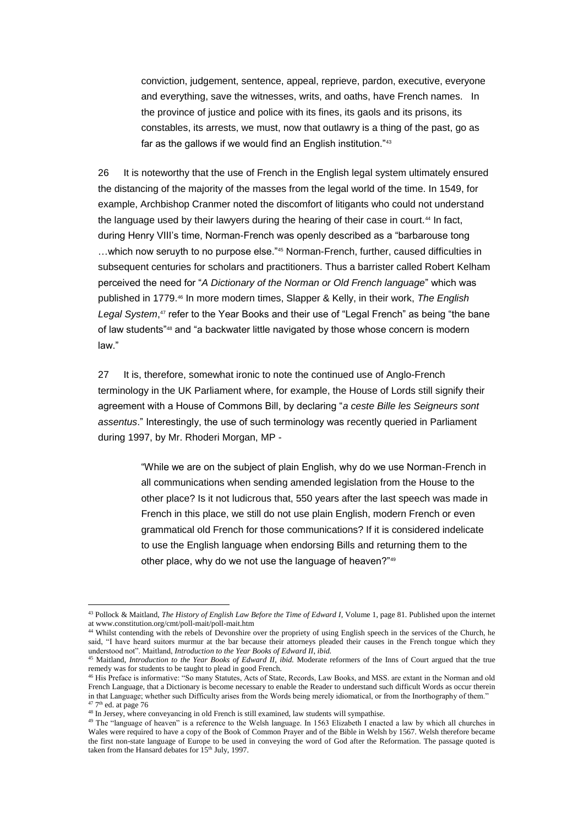conviction, judgement, sentence, appeal, reprieve, pardon, executive, everyone and everything, save the witnesses, writs, and oaths, have French names. In the province of justice and police with its fines, its gaols and its prisons, its constables, its arrests, we must, now that outlawry is a thing of the past, go as far as the gallows if we would find an English institution."43

26 It is noteworthy that the use of French in the English legal system ultimately ensured the distancing of the majority of the masses from the legal world of the time. In 1549, for example, Archbishop Cranmer noted the discomfort of litigants who could not understand the language used by their lawyers during the hearing of their case in court.<sup>44</sup> In fact, during Henry VIII's time, Norman-French was openly described as a "barbarouse tong …which now seruyth to no purpose else."<sup>45</sup> Norman-French, further, caused difficulties in subsequent centuries for scholars and practitioners. Thus a barrister called Robert Kelham perceived the need for "*A Dictionary of the Norman or Old French language*" which was published in 1779.<sup>46</sup> In more modern times, Slapper & Kelly, in their work, *The English*  Legal System,<sup>47</sup> refer to the Year Books and their use of "Legal French" as being "the bane of law students"<sup>48</sup> and "a backwater little navigated by those whose concern is modern law."

27 It is, therefore, somewhat ironic to note the continued use of Anglo-French terminology in the UK Parliament where, for example, the House of Lords still signify their agreement with a House of Commons Bill, by declaring "*a ceste Bille les Seigneurs sont assentus*." Interestingly, the use of such terminology was recently queried in Parliament during 1997, by Mr. Rhoderi Morgan, MP -

> "While we are on the subject of plain English, why do we use Norman-French in all communications when sending amended legislation from the House to the other place? Is it not ludicrous that, 550 years after the last speech was made in French in this place, we still do not use plain English, modern French or even grammatical old French for those communications? If it is considered indelicate to use the English language when endorsing Bills and returning them to the other place, why do we not use the language of heaven?"<sup>49</sup>

<sup>43</sup> Pollock & Maitland, *The History of English Law Before the Time of Edward I*, Volume 1, page 81. Published upon the internet at www.constitution.org/cmt/poll-mait/poll-mait.htm

<sup>&</sup>lt;sup>44</sup> Whilst contending with the rebels of Devonshire over the propriety of using English speech in the services of the Church, he said, "I have heard suitors murmur at the bar because their attorneys pleaded their causes in the French tongue which they understood not". Maitland, *Introduction to the Year Books of Edward II*, *ibid.*

<sup>45</sup> Maitland, *Introduction to the Year Books of Edward II*, *ibid.* Moderate reformers of the Inns of Court argued that the true remedy was for students to be taught to plead in good French.

<sup>46</sup> His Preface is informative: "So many Statutes, Acts of State, Records, Law Books, and MSS. are extant in the Norman and old French Language, that a Dictionary is become necessary to enable the Reader to understand such difficult Words as occur therein in that Language; whether such Difficulty arises from the Words being merely idiomatical, or from the Inorthography of them."  $47$  7<sup>th</sup> ed. at page 76

<sup>&</sup>lt;sup>48</sup> In Jersey, where conveyancing in old French is still examined, law students will sympathise.

<sup>&</sup>lt;sup>49</sup> The "language of heaven" is a reference to the Welsh language. In 1563 Elizabeth I enacted a law by which all churches in Wales were required to have a copy of the Book of Common Prayer and of the Bible in Welsh by 1567. Welsh therefore became the first non-state language of Europe to be used in conveying the word of God after the Reformation. The passage quoted is taken from the Hansard debates for 15<sup>th</sup> July, 1997.